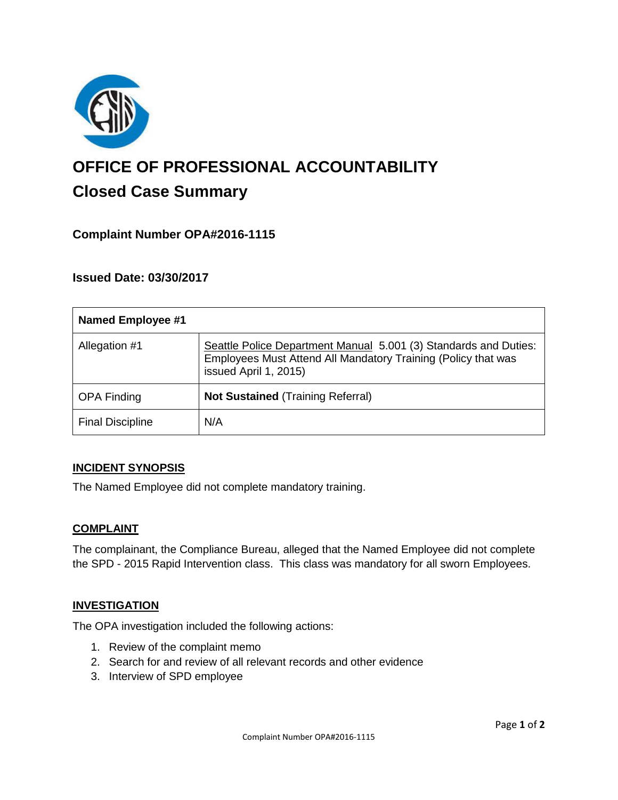

# **OFFICE OF PROFESSIONAL ACCOUNTABILITY Closed Case Summary**

# **Complaint Number OPA#2016-1115**

# **Issued Date: 03/30/2017**

| <b>Named Employee #1</b> |                                                                                                                                                            |
|--------------------------|------------------------------------------------------------------------------------------------------------------------------------------------------------|
| Allegation #1            | Seattle Police Department Manual 5.001 (3) Standards and Duties:<br>Employees Must Attend All Mandatory Training (Policy that was<br>issued April 1, 2015) |
| <b>OPA Finding</b>       | <b>Not Sustained (Training Referral)</b>                                                                                                                   |
| <b>Final Discipline</b>  | N/A                                                                                                                                                        |

#### **INCIDENT SYNOPSIS**

The Named Employee did not complete mandatory training.

#### **COMPLAINT**

The complainant, the Compliance Bureau, alleged that the Named Employee did not complete the SPD - 2015 Rapid Intervention class. This class was mandatory for all sworn Employees.

#### **INVESTIGATION**

The OPA investigation included the following actions:

- 1. Review of the complaint memo
- 2. Search for and review of all relevant records and other evidence
- 3. Interview of SPD employee